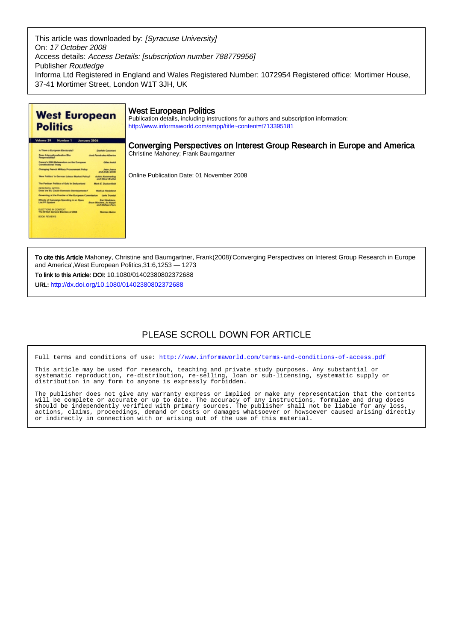This article was downloaded by: [Syracuse University] On: 17 October 2008 Access details: Access Details: [subscription number 788779956] Publisher Routledge Informa Ltd Registered in England and Wales Registered Number: 1072954 Registered office: Mortimer House, 37-41 Mortimer Street, London W1T 3JH, UK



To cite this Article Mahoney, Christine and Baumgartner, Frank(2008)'Converging Perspectives on Interest Group Research in Europe and America',West European Politics,31:6,1253 — 1273

To link to this Article: DOI: 10.1080/01402380802372688

URL: <http://dx.doi.org/10.1080/01402380802372688>

# PLEASE SCROLL DOWN FOR ARTICLE

Full terms and conditions of use:<http://www.informaworld.com/terms-and-conditions-of-access.pdf>

This article may be used for research, teaching and private study purposes. Any substantial or systematic reproduction, re-distribution, re-selling, loan or sub-licensing, systematic supply or distribution in any form to anyone is expressly forbidden.

The publisher does not give any warranty express or implied or make any representation that the contents will be complete or accurate or up to date. The accuracy of any instructions, formulae and drug doses should be independently verified with primary sources. The publisher shall not be liable for any loss, actions, claims, proceedings, demand or costs or damages whatsoever or howsoever caused arising directly or indirectly in connection with or arising out of the use of this material.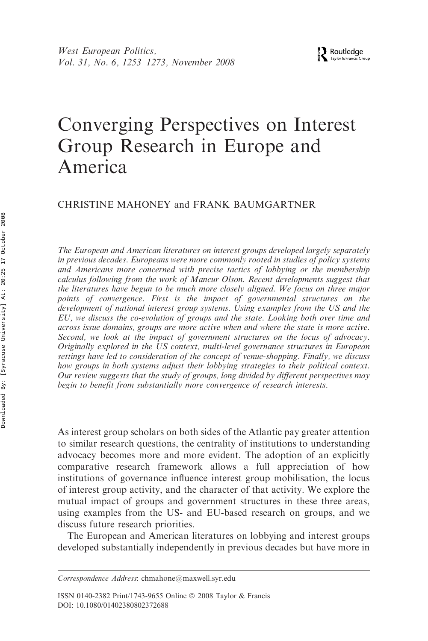# Converging Perspectives on Interest Group Research in Europe and America

## CHRISTINE MAHONEY and FRANK BAUMGARTNER

The European and American literatures on interest groups developed largely separately in previous decades. Europeans were more commonly rooted in studies of policy systems and Americans more concerned with precise tactics of lobbying or the membership calculus following from the work of Mancur Olson. Recent developments suggest that the literatures have begun to be much more closely aligned. We focus on three major points of convergence. First is the impact of governmental structures on the development of national interest group systems. Using examples from the US and the EU, we discuss the co-evolution of groups and the state. Looking both over time and across issue domains, groups are more active when and where the state is more active. Second, we look at the impact of government structures on the locus of advocacy. Originally explored in the US context, multi-level governance structures in European settings have led to consideration of the concept of venue-shopping. Finally, we discuss how groups in both systems adjust their lobbying strategies to their political context. Our review suggests that the study of groups, long divided by different perspectives may begin to benefit from substantially more convergence of research interests.

As interest group scholars on both sides of the Atlantic pay greater attention to similar research questions, the centrality of institutions to understanding advocacy becomes more and more evident. The adoption of an explicitly comparative research framework allows a full appreciation of how institutions of governance influence interest group mobilisation, the locus of interest group activity, and the character of that activity. We explore the mutual impact of groups and government structures in these three areas, using examples from the US- and EU-based research on groups, and we discuss future research priorities.

The European and American literatures on lobbying and interest groups developed substantially independently in previous decades but have more in

Correspondence Address: chmahone@maxwell.syr.edu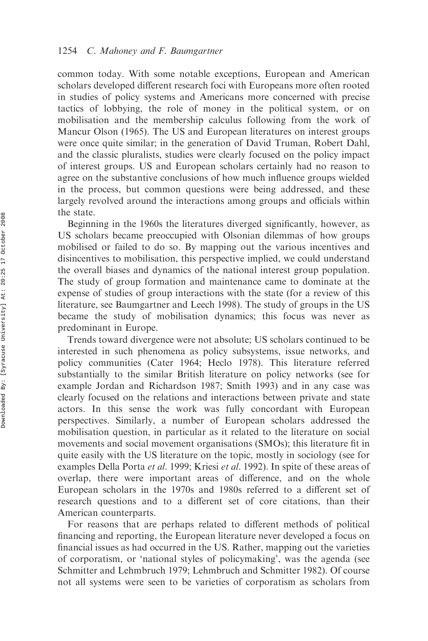common today. With some notable exceptions, European and American scholars developed different research foci with Europeans more often rooted in studies of policy systems and Americans more concerned with precise tactics of lobbying, the role of money in the political system, or on mobilisation and the membership calculus following from the work of Mancur Olson (1965). The US and European literatures on interest groups were once quite similar; in the generation of David Truman, Robert Dahl, and the classic pluralists, studies were clearly focused on the policy impact of interest groups. US and European scholars certainly had no reason to agree on the substantive conclusions of how much influence groups wielded in the process, but common questions were being addressed, and these largely revolved around the interactions among groups and officials within the state.

Beginning in the 1960s the literatures diverged significantly, however, as US scholars became preoccupied with Olsonian dilemmas of how groups mobilised or failed to do so. By mapping out the various incentives and disincentives to mobilisation, this perspective implied, we could understand the overall biases and dynamics of the national interest group population. The study of group formation and maintenance came to dominate at the expense of studies of group interactions with the state (for a review of this literature, see Baumgartner and Leech 1998). The study of groups in the US became the study of mobilisation dynamics; this focus was never as predominant in Europe.

Trends toward divergence were not absolute; US scholars continued to be interested in such phenomena as policy subsystems, issue networks, and policy communities (Cater 1964; Heclo 1978). This literature referred substantially to the similar British literature on policy networks (see for example Jordan and Richardson 1987; Smith 1993) and in any case was clearly focused on the relations and interactions between private and state actors. In this sense the work was fully concordant with European perspectives. Similarly, a number of European scholars addressed the mobilisation question, in particular as it related to the literature on social movements and social movement organisations (SMOs); this literature fit in quite easily with the US literature on the topic, mostly in sociology (see for examples Della Porta *et al.* 1999; Kriesi *et al.* 1992). In spite of these areas of overlap, there were important areas of difference, and on the whole European scholars in the 1970s and 1980s referred to a different set of research questions and to a different set of core citations, than their American counterparts.

For reasons that are perhaps related to different methods of political financing and reporting, the European literature never developed a focus on financial issues as had occurred in the US. Rather, mapping out the varieties of corporatism, or 'national styles of policymaking', was the agenda (see Schmitter and Lehmbruch 1979; Lehmbruch and Schmitter 1982). Of course not all systems were seen to be varieties of corporatism as scholars from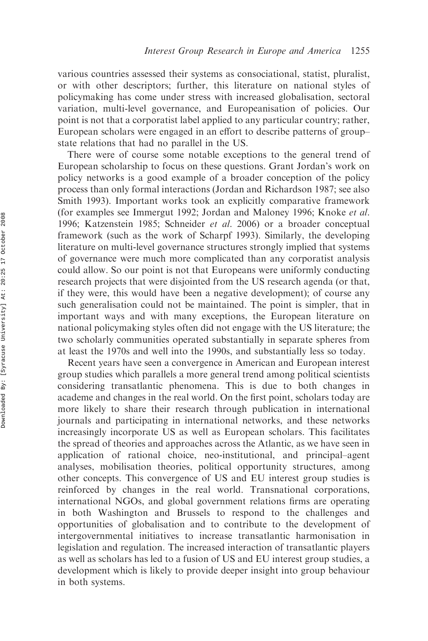various countries assessed their systems as consociational, statist, pluralist, or with other descriptors; further, this literature on national styles of policymaking has come under stress with increased globalisation, sectoral variation, multi-level governance, and Europeanisation of policies. Our point is not that a corporatist label applied to any particular country; rather, European scholars were engaged in an effort to describe patterns of group– state relations that had no parallel in the US.

There were of course some notable exceptions to the general trend of European scholarship to focus on these questions. Grant Jordan's work on policy networks is a good example of a broader conception of the policy process than only formal interactions (Jordan and Richardson 1987; see also Smith 1993). Important works took an explicitly comparative framework (for examples see Immergut 1992; Jordan and Maloney 1996; Knoke et al. 1996; Katzenstein 1985; Schneider et al. 2006) or a broader conceptual framework (such as the work of Scharpf 1993). Similarly, the developing literature on multi-level governance structures strongly implied that systems of governance were much more complicated than any corporatist analysis could allow. So our point is not that Europeans were uniformly conducting research projects that were disjointed from the US research agenda (or that, if they were, this would have been a negative development); of course any such generalisation could not be maintained. The point is simpler, that in important ways and with many exceptions, the European literature on national policymaking styles often did not engage with the US literature; the two scholarly communities operated substantially in separate spheres from at least the 1970s and well into the 1990s, and substantially less so today.

Recent years have seen a convergence in American and European interest group studies which parallels a more general trend among political scientists considering transatlantic phenomena. This is due to both changes in academe and changes in the real world. On the first point, scholars today are more likely to share their research through publication in international journals and participating in international networks, and these networks increasingly incorporate US as well as European scholars. This facilitates the spread of theories and approaches across the Atlantic, as we have seen in application of rational choice, neo-institutional, and principal–agent analyses, mobilisation theories, political opportunity structures, among other concepts. This convergence of US and EU interest group studies is reinforced by changes in the real world. Transnational corporations, international NGOs, and global government relations firms are operating in both Washington and Brussels to respond to the challenges and opportunities of globalisation and to contribute to the development of intergovernmental initiatives to increase transatlantic harmonisation in legislation and regulation. The increased interaction of transatlantic players as well as scholars has led to a fusion of US and EU interest group studies, a development which is likely to provide deeper insight into group behaviour in both systems.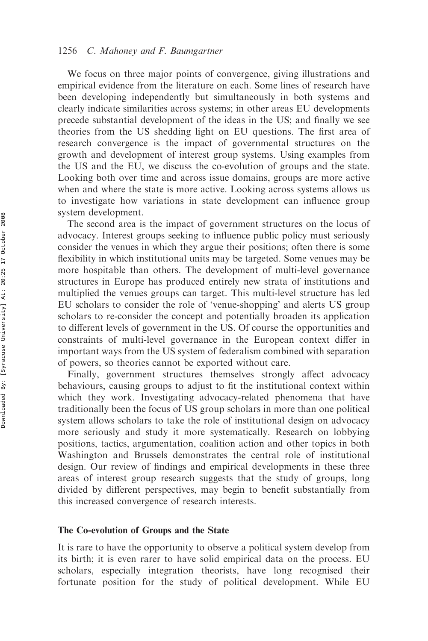#### 1256 C. Mahoney and F. Baumgartner

We focus on three major points of convergence, giving illustrations and empirical evidence from the literature on each. Some lines of research have been developing independently but simultaneously in both systems and clearly indicate similarities across systems; in other areas EU developments precede substantial development of the ideas in the US; and finally we see theories from the US shedding light on EU questions. The first area of research convergence is the impact of governmental structures on the growth and development of interest group systems. Using examples from the US and the EU, we discuss the co-evolution of groups and the state. Looking both over time and across issue domains, groups are more active when and where the state is more active. Looking across systems allows us to investigate how variations in state development can influence group system development.

The second area is the impact of government structures on the locus of advocacy. Interest groups seeking to influence public policy must seriously consider the venues in which they argue their positions; often there is some flexibility in which institutional units may be targeted. Some venues may be more hospitable than others. The development of multi-level governance structures in Europe has produced entirely new strata of institutions and multiplied the venues groups can target. This multi-level structure has led EU scholars to consider the role of 'venue-shopping' and alerts US group scholars to re-consider the concept and potentially broaden its application to different levels of government in the US. Of course the opportunities and constraints of multi-level governance in the European context differ in important ways from the US system of federalism combined with separation of powers, so theories cannot be exported without care.

Finally, government structures themselves strongly affect advocacy behaviours, causing groups to adjust to fit the institutional context within which they work. Investigating advocacy-related phenomena that have traditionally been the focus of US group scholars in more than one political system allows scholars to take the role of institutional design on advocacy more seriously and study it more systematically. Research on lobbying positions, tactics, argumentation, coalition action and other topics in both Washington and Brussels demonstrates the central role of institutional design. Our review of findings and empirical developments in these three areas of interest group research suggests that the study of groups, long divided by different perspectives, may begin to benefit substantially from this increased convergence of research interests.

#### The Co-evolution of Groups and the State

It is rare to have the opportunity to observe a political system develop from its birth; it is even rarer to have solid empirical data on the process. EU scholars, especially integration theorists, have long recognised their fortunate position for the study of political development. While EU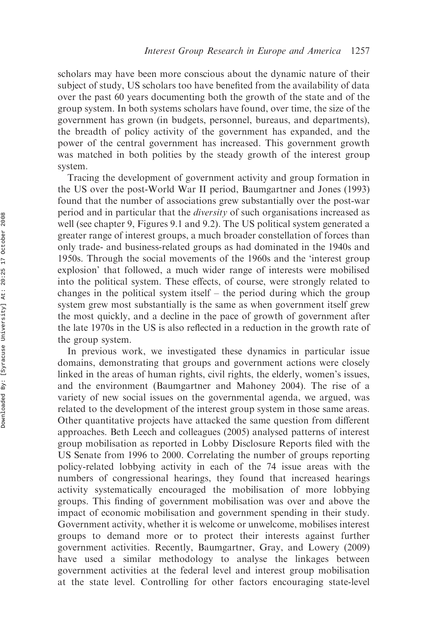scholars may have been more conscious about the dynamic nature of their subject of study, US scholars too have benefited from the availability of data over the past 60 years documenting both the growth of the state and of the group system. In both systems scholars have found, over time, the size of the government has grown (in budgets, personnel, bureaus, and departments), the breadth of policy activity of the government has expanded, and the power of the central government has increased. This government growth was matched in both polities by the steady growth of the interest group system.

Tracing the development of government activity and group formation in the US over the post-World War II period, Baumgartner and Jones (1993) found that the number of associations grew substantially over the post-war period and in particular that the diversity of such organisations increased as well (see chapter 9, Figures 9.1 and 9.2). The US political system generated a greater range of interest groups, a much broader constellation of forces than only trade- and business-related groups as had dominated in the 1940s and 1950s. Through the social movements of the 1960s and the 'interest group explosion' that followed, a much wider range of interests were mobilised into the political system. These effects, of course, were strongly related to changes in the political system itself – the period during which the group system grew most substantially is the same as when government itself grew the most quickly, and a decline in the pace of growth of government after the late 1970s in the US is also reflected in a reduction in the growth rate of the group system.

In previous work, we investigated these dynamics in particular issue domains, demonstrating that groups and government actions were closely linked in the areas of human rights, civil rights, the elderly, women's issues, and the environment (Baumgartner and Mahoney 2004). The rise of a variety of new social issues on the governmental agenda, we argued, was related to the development of the interest group system in those same areas. Other quantitative projects have attacked the same question from different approaches. Beth Leech and colleagues (2005) analysed patterns of interest group mobilisation as reported in Lobby Disclosure Reports filed with the US Senate from 1996 to 2000. Correlating the number of groups reporting policy-related lobbying activity in each of the 74 issue areas with the numbers of congressional hearings, they found that increased hearings activity systematically encouraged the mobilisation of more lobbying groups. This finding of government mobilisation was over and above the impact of economic mobilisation and government spending in their study. Government activity, whether it is welcome or unwelcome, mobilises interest groups to demand more or to protect their interests against further government activities. Recently, Baumgartner, Gray, and Lowery (2009) have used a similar methodology to analyse the linkages between government activities at the federal level and interest group mobilisation at the state level. Controlling for other factors encouraging state-level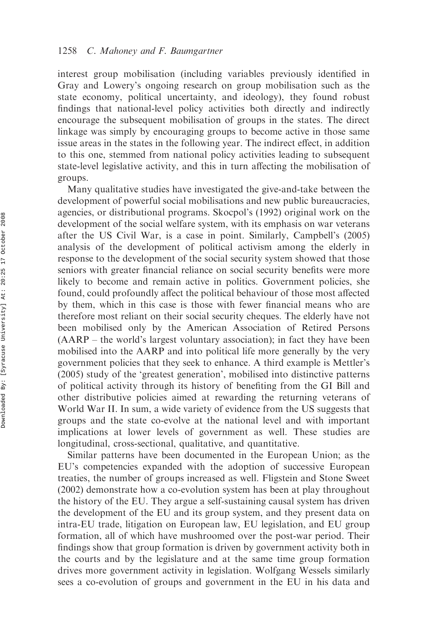interest group mobilisation (including variables previously identified in Gray and Lowery's ongoing research on group mobilisation such as the state economy, political uncertainty, and ideology), they found robust findings that national-level policy activities both directly and indirectly encourage the subsequent mobilisation of groups in the states. The direct linkage was simply by encouraging groups to become active in those same issue areas in the states in the following year. The indirect effect, in addition to this one, stemmed from national policy activities leading to subsequent state-level legislative activity, and this in turn affecting the mobilisation of groups.

Many qualitative studies have investigated the give-and-take between the development of powerful social mobilisations and new public bureaucracies, agencies, or distributional programs. Skocpol's (1992) original work on the development of the social welfare system, with its emphasis on war veterans after the US Civil War, is a case in point. Similarly, Campbell's (2005) analysis of the development of political activism among the elderly in response to the development of the social security system showed that those seniors with greater financial reliance on social security benefits were more likely to become and remain active in politics. Government policies, she found, could profoundly affect the political behaviour of those most affected by them, which in this case is those with fewer financial means who are therefore most reliant on their social security cheques. The elderly have not been mobilised only by the American Association of Retired Persons (AARP – the world's largest voluntary association); in fact they have been mobilised into the AARP and into political life more generally by the very government policies that they seek to enhance. A third example is Mettler's (2005) study of the 'greatest generation', mobilised into distinctive patterns of political activity through its history of benefiting from the GI Bill and other distributive policies aimed at rewarding the returning veterans of World War II. In sum, a wide variety of evidence from the US suggests that groups and the state co-evolve at the national level and with important implications at lower levels of government as well. These studies are longitudinal, cross-sectional, qualitative, and quantitative.

Similar patterns have been documented in the European Union; as the EU's competencies expanded with the adoption of successive European treaties, the number of groups increased as well. Fligstein and Stone Sweet (2002) demonstrate how a co-evolution system has been at play throughout the history of the EU. They argue a self-sustaining causal system has driven the development of the EU and its group system, and they present data on intra-EU trade, litigation on European law, EU legislation, and EU group formation, all of which have mushroomed over the post-war period. Their findings show that group formation is driven by government activity both in the courts and by the legislature and at the same time group formation drives more government activity in legislation. Wolfgang Wessels similarly sees a co-evolution of groups and government in the EU in his data and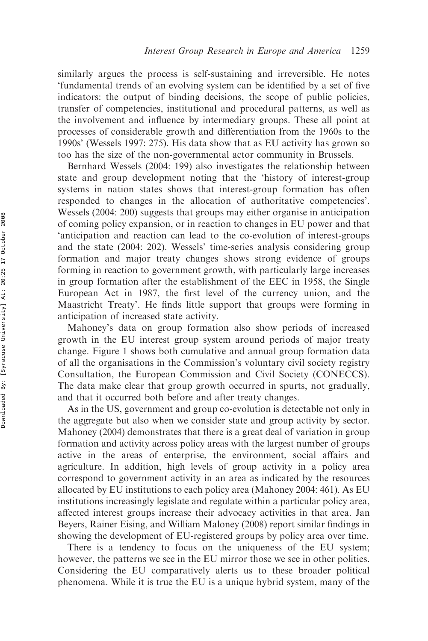similarly argues the process is self-sustaining and irreversible. He notes 'fundamental trends of an evolving system can be identified by a set of five indicators: the output of binding decisions, the scope of public policies, transfer of competencies, institutional and procedural patterns, as well as the involvement and influence by intermediary groups. These all point at processes of considerable growth and differentiation from the 1960s to the 1990s' (Wessels 1997: 275). His data show that as EU activity has grown so too has the size of the non-governmental actor community in Brussels.

Bernhard Wessels (2004: 199) also investigates the relationship between state and group development noting that the 'history of interest-group systems in nation states shows that interest-group formation has often responded to changes in the allocation of authoritative competencies'. Wessels (2004: 200) suggests that groups may either organise in anticipation of coming policy expansion, or in reaction to changes in EU power and that 'anticipation and reaction can lead to the co-evolution of interest-groups and the state (2004: 202). Wessels' time-series analysis considering group formation and major treaty changes shows strong evidence of groups forming in reaction to government growth, with particularly large increases in group formation after the establishment of the EEC in 1958, the Single European Act in 1987, the first level of the currency union, and the Maastricht Treaty'. He finds little support that groups were forming in anticipation of increased state activity.

Mahoney's data on group formation also show periods of increased growth in the EU interest group system around periods of major treaty change. Figure 1 shows both cumulative and annual group formation data of all the organisations in the Commission's voluntary civil society registry Consultation, the European Commission and Civil Society (CONECCS). The data make clear that group growth occurred in spurts, not gradually, and that it occurred both before and after treaty changes.

As in the US, government and group co-evolution is detectable not only in the aggregate but also when we consider state and group activity by sector. Mahoney (2004) demonstrates that there is a great deal of variation in group formation and activity across policy areas with the largest number of groups active in the areas of enterprise, the environment, social affairs and agriculture. In addition, high levels of group activity in a policy area correspond to government activity in an area as indicated by the resources allocated by EU institutions to each policy area (Mahoney 2004: 461). As EU institutions increasingly legislate and regulate within a particular policy area, affected interest groups increase their advocacy activities in that area. Jan Beyers, Rainer Eising, and William Maloney (2008) report similar findings in showing the development of EU-registered groups by policy area over time.

There is a tendency to focus on the uniqueness of the EU system; however, the patterns we see in the EU mirror those we see in other polities. Considering the EU comparatively alerts us to these broader political phenomena. While it is true the EU is a unique hybrid system, many of the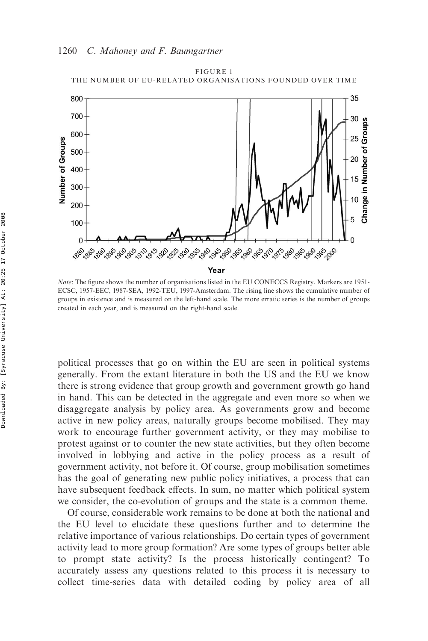

Note: The figure shows the number of organisations listed in the EU CONECCS Registry. Markers are 1951- ECSC, 1957-EEC, 1987-SEA, 1992-TEU, 1997-Amsterdam. The rising line shows the cumulative number of groups in existence and is measured on the left-hand scale. The more erratic series is the number of groups created in each year, and is measured on the right-hand scale.

political processes that go on within the EU are seen in political systems generally. From the extant literature in both the US and the EU we know there is strong evidence that group growth and government growth go hand in hand. This can be detected in the aggregate and even more so when we disaggregate analysis by policy area. As governments grow and become active in new policy areas, naturally groups become mobilised. They may work to encourage further government activity, or they may mobilise to protest against or to counter the new state activities, but they often become involved in lobbying and active in the policy process as a result of government activity, not before it. Of course, group mobilisation sometimes has the goal of generating new public policy initiatives, a process that can have subsequent feedback effects. In sum, no matter which political system we consider, the co-evolution of groups and the state is a common theme.

Of course, considerable work remains to be done at both the national and the EU level to elucidate these questions further and to determine the relative importance of various relationships. Do certain types of government activity lead to more group formation? Are some types of groups better able to prompt state activity? Is the process historically contingent? To accurately assess any questions related to this process it is necessary to collect time-series data with detailed coding by policy area of all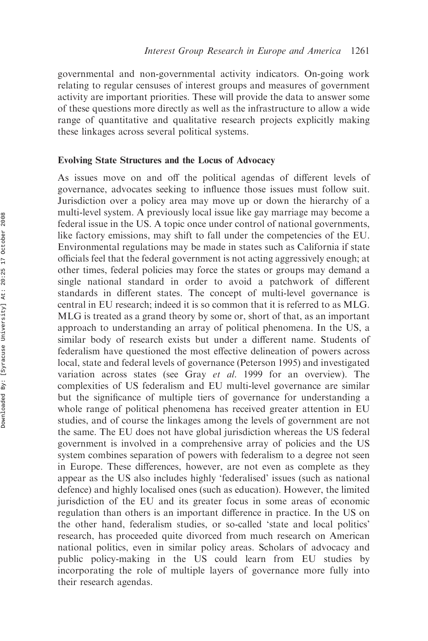governmental and non-governmental activity indicators. On-going work relating to regular censuses of interest groups and measures of government activity are important priorities. These will provide the data to answer some of these questions more directly as well as the infrastructure to allow a wide range of quantitative and qualitative research projects explicitly making these linkages across several political systems.

#### Evolving State Structures and the Locus of Advocacy

As issues move on and off the political agendas of different levels of governance, advocates seeking to influence those issues must follow suit. Jurisdiction over a policy area may move up or down the hierarchy of a multi-level system. A previously local issue like gay marriage may become a federal issue in the US. A topic once under control of national governments, like factory emissions, may shift to fall under the competencies of the EU. Environmental regulations may be made in states such as California if state officials feel that the federal government is not acting aggressively enough; at other times, federal policies may force the states or groups may demand a single national standard in order to avoid a patchwork of different standards in different states. The concept of multi-level governance is central in EU research; indeed it is so common that it is referred to as MLG. MLG is treated as a grand theory by some or, short of that, as an important approach to understanding an array of political phenomena. In the US, a similar body of research exists but under a different name. Students of federalism have questioned the most effective delineation of powers across local, state and federal levels of governance (Peterson 1995) and investigated variation across states (see Gray et al. 1999 for an overview). The complexities of US federalism and EU multi-level governance are similar but the significance of multiple tiers of governance for understanding a whole range of political phenomena has received greater attention in EU studies, and of course the linkages among the levels of government are not the same. The EU does not have global jurisdiction whereas the US federal government is involved in a comprehensive array of policies and the US system combines separation of powers with federalism to a degree not seen in Europe. These differences, however, are not even as complete as they appear as the US also includes highly 'federalised' issues (such as national defence) and highly localised ones (such as education). However, the limited jurisdiction of the EU and its greater focus in some areas of economic regulation than others is an important difference in practice. In the US on the other hand, federalism studies, or so-called 'state and local politics' research, has proceeded quite divorced from much research on American national politics, even in similar policy areas. Scholars of advocacy and public policy-making in the US could learn from EU studies by incorporating the role of multiple layers of governance more fully into their research agendas.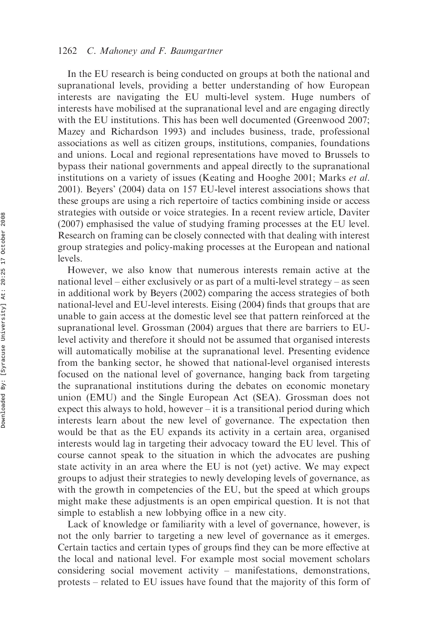#### 1262 C. Mahoney and F. Baumgartner

In the EU research is being conducted on groups at both the national and supranational levels, providing a better understanding of how European interests are navigating the EU multi-level system. Huge numbers of interests have mobilised at the supranational level and are engaging directly with the EU institutions. This has been well documented (Greenwood 2007; Mazey and Richardson 1993) and includes business, trade, professional associations as well as citizen groups, institutions, companies, foundations and unions. Local and regional representations have moved to Brussels to bypass their national governments and appeal directly to the supranational institutions on a variety of issues (Keating and Hooghe 2001; Marks et al. 2001). Beyers' (2004) data on 157 EU-level interest associations shows that these groups are using a rich repertoire of tactics combining inside or access strategies with outside or voice strategies. In a recent review article, Daviter (2007) emphasised the value of studying framing processes at the EU level. Research on framing can be closely connected with that dealing with interest group strategies and policy-making processes at the European and national levels.

However, we also know that numerous interests remain active at the national level – either exclusively or as part of a multi-level strategy – as seen in additional work by Beyers (2002) comparing the access strategies of both national-level and EU-level interests. Eising (2004) finds that groups that are unable to gain access at the domestic level see that pattern reinforced at the supranational level. Grossman (2004) argues that there are barriers to EUlevel activity and therefore it should not be assumed that organised interests will automatically mobilise at the supranational level. Presenting evidence from the banking sector, he showed that national-level organised interests focused on the national level of governance, hanging back from targeting the supranational institutions during the debates on economic monetary union (EMU) and the Single European Act (SEA). Grossman does not expect this always to hold, however – it is a transitional period during which interests learn about the new level of governance. The expectation then would be that as the EU expands its activity in a certain area, organised interests would lag in targeting their advocacy toward the EU level. This of course cannot speak to the situation in which the advocates are pushing state activity in an area where the EU is not (yet) active. We may expect groups to adjust their strategies to newly developing levels of governance, as with the growth in competencies of the EU, but the speed at which groups might make these adjustments is an open empirical question. It is not that simple to establish a new lobbying office in a new city.

Lack of knowledge or familiarity with a level of governance, however, is not the only barrier to targeting a new level of governance as it emerges. Certain tactics and certain types of groups find they can be more effective at the local and national level. For example most social movement scholars considering social movement activity – manifestations, demonstrations, protests – related to EU issues have found that the majority of this form of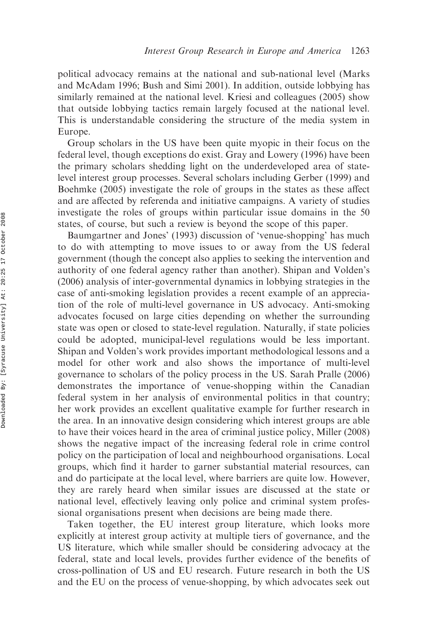political advocacy remains at the national and sub-national level (Marks and McAdam 1996; Bush and Simi 2001). In addition, outside lobbying has similarly remained at the national level. Kriesi and colleagues (2005) show that outside lobbying tactics remain largely focused at the national level. This is understandable considering the structure of the media system in Europe.

Group scholars in the US have been quite myopic in their focus on the federal level, though exceptions do exist. Gray and Lowery (1996) have been the primary scholars shedding light on the underdeveloped area of statelevel interest group processes. Several scholars including Gerber (1999) and Boehmke (2005) investigate the role of groups in the states as these affect and are affected by referenda and initiative campaigns. A variety of studies investigate the roles of groups within particular issue domains in the 50 states, of course, but such a review is beyond the scope of this paper.

Baumgartner and Jones' (1993) discussion of 'venue-shopping' has much to do with attempting to move issues to or away from the US federal government (though the concept also applies to seeking the intervention and authority of one federal agency rather than another). Shipan and Volden's (2006) analysis of inter-governmental dynamics in lobbying strategies in the case of anti-smoking legislation provides a recent example of an appreciation of the role of multi-level governance in US advocacy. Anti-smoking advocates focused on large cities depending on whether the surrounding state was open or closed to state-level regulation. Naturally, if state policies could be adopted, municipal-level regulations would be less important. Shipan and Volden's work provides important methodological lessons and a model for other work and also shows the importance of multi-level governance to scholars of the policy process in the US. Sarah Pralle (2006) demonstrates the importance of venue-shopping within the Canadian federal system in her analysis of environmental politics in that country; her work provides an excellent qualitative example for further research in the area. In an innovative design considering which interest groups are able to have their voices heard in the area of criminal justice policy, Miller (2008) shows the negative impact of the increasing federal role in crime control policy on the participation of local and neighbourhood organisations. Local groups, which find it harder to garner substantial material resources, can and do participate at the local level, where barriers are quite low. However, they are rarely heard when similar issues are discussed at the state or national level, effectively leaving only police and criminal system professional organisations present when decisions are being made there.

Taken together, the EU interest group literature, which looks more explicitly at interest group activity at multiple tiers of governance, and the US literature, which while smaller should be considering advocacy at the federal, state and local levels, provides further evidence of the benefits of cross-pollination of US and EU research. Future research in both the US and the EU on the process of venue-shopping, by which advocates seek out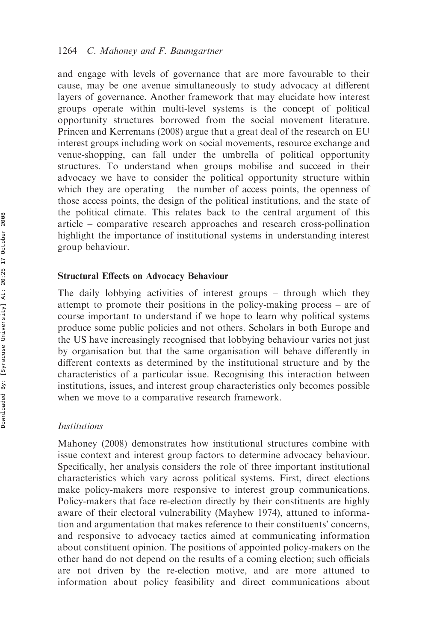and engage with levels of governance that are more favourable to their cause, may be one avenue simultaneously to study advocacy at different layers of governance. Another framework that may elucidate how interest groups operate within multi-level systems is the concept of political opportunity structures borrowed from the social movement literature. Princen and Kerremans (2008) argue that a great deal of the research on EU interest groups including work on social movements, resource exchange and venue-shopping, can fall under the umbrella of political opportunity structures. To understand when groups mobilise and succeed in their advocacy we have to consider the political opportunity structure within which they are operating – the number of access points, the openness of those access points, the design of the political institutions, and the state of the political climate. This relates back to the central argument of this article – comparative research approaches and research cross-pollination highlight the importance of institutional systems in understanding interest group behaviour.

#### Structural Effects on Advocacy Behaviour

The daily lobbying activities of interest groups – through which they attempt to promote their positions in the policy-making process – are of course important to understand if we hope to learn why political systems produce some public policies and not others. Scholars in both Europe and the US have increasingly recognised that lobbying behaviour varies not just by organisation but that the same organisation will behave differently in different contexts as determined by the institutional structure and by the characteristics of a particular issue. Recognising this interaction between institutions, issues, and interest group characteristics only becomes possible when we move to a comparative research framework.

#### **Institutions**

Mahoney (2008) demonstrates how institutional structures combine with issue context and interest group factors to determine advocacy behaviour. Specifically, her analysis considers the role of three important institutional characteristics which vary across political systems. First, direct elections make policy-makers more responsive to interest group communications. Policy-makers that face re-election directly by their constituents are highly aware of their electoral vulnerability (Mayhew 1974), attuned to information and argumentation that makes reference to their constituents' concerns, and responsive to advocacy tactics aimed at communicating information about constituent opinion. The positions of appointed policy-makers on the other hand do not depend on the results of a coming election; such officials are not driven by the re-election motive, and are more attuned to information about policy feasibility and direct communications about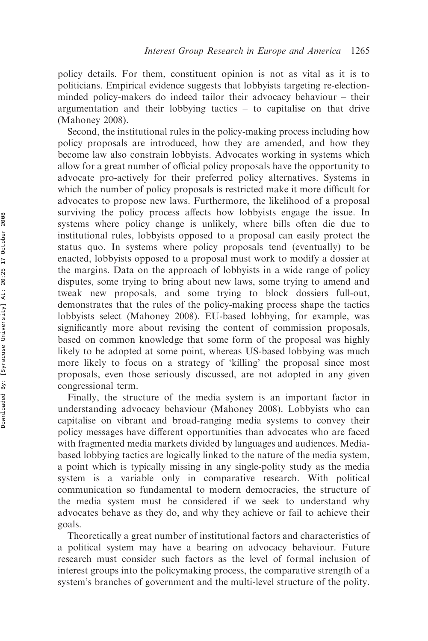policy details. For them, constituent opinion is not as vital as it is to politicians. Empirical evidence suggests that lobbyists targeting re-electionminded policy-makers do indeed tailor their advocacy behaviour – their argumentation and their lobbying tactics  $-$  to capitalise on that drive (Mahoney 2008).

Second, the institutional rules in the policy-making process including how policy proposals are introduced, how they are amended, and how they become law also constrain lobbyists. Advocates working in systems which allow for a great number of official policy proposals have the opportunity to advocate pro-actively for their preferred policy alternatives. Systems in which the number of policy proposals is restricted make it more difficult for advocates to propose new laws. Furthermore, the likelihood of a proposal surviving the policy process affects how lobbyists engage the issue. In systems where policy change is unlikely, where bills often die due to institutional rules, lobbyists opposed to a proposal can easily protect the status quo. In systems where policy proposals tend (eventually) to be enacted, lobbyists opposed to a proposal must work to modify a dossier at the margins. Data on the approach of lobbyists in a wide range of policy disputes, some trying to bring about new laws, some trying to amend and tweak new proposals, and some trying to block dossiers full-out, demonstrates that the rules of the policy-making process shape the tactics lobbyists select (Mahoney 2008). EU-based lobbying, for example, was significantly more about revising the content of commission proposals, based on common knowledge that some form of the proposal was highly likely to be adopted at some point, whereas US-based lobbying was much more likely to focus on a strategy of 'killing' the proposal since most proposals, even those seriously discussed, are not adopted in any given congressional term.

Finally, the structure of the media system is an important factor in understanding advocacy behaviour (Mahoney 2008). Lobbyists who can capitalise on vibrant and broad-ranging media systems to convey their policy messages have different opportunities than advocates who are faced with fragmented media markets divided by languages and audiences. Mediabased lobbying tactics are logically linked to the nature of the media system, a point which is typically missing in any single-polity study as the media system is a variable only in comparative research. With political communication so fundamental to modern democracies, the structure of the media system must be considered if we seek to understand why advocates behave as they do, and why they achieve or fail to achieve their goals.

Theoretically a great number of institutional factors and characteristics of a political system may have a bearing on advocacy behaviour. Future research must consider such factors as the level of formal inclusion of interest groups into the policymaking process, the comparative strength of a system's branches of government and the multi-level structure of the polity.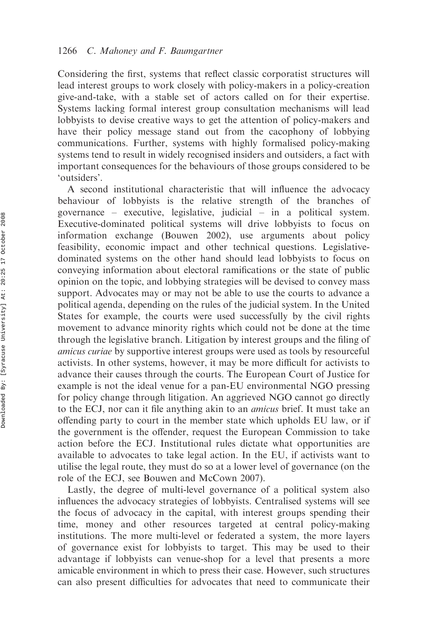Considering the first, systems that reflect classic corporatist structures will lead interest groups to work closely with policy-makers in a policy-creation give-and-take, with a stable set of actors called on for their expertise. Systems lacking formal interest group consultation mechanisms will lead lobbyists to devise creative ways to get the attention of policy-makers and have their policy message stand out from the cacophony of lobbying communications. Further, systems with highly formalised policy-making systems tend to result in widely recognised insiders and outsiders, a fact with important consequences for the behaviours of those groups considered to be 'outsiders'.

A second institutional characteristic that will influence the advocacy behaviour of lobbyists is the relative strength of the branches of governance – executive, legislative, judicial – in a political system. Executive-dominated political systems will drive lobbyists to focus on information exchange (Bouwen 2002), use arguments about policy feasibility, economic impact and other technical questions. Legislativedominated systems on the other hand should lead lobbyists to focus on conveying information about electoral ramifications or the state of public opinion on the topic, and lobbying strategies will be devised to convey mass support. Advocates may or may not be able to use the courts to advance a political agenda, depending on the rules of the judicial system. In the United States for example, the courts were used successfully by the civil rights movement to advance minority rights which could not be done at the time through the legislative branch. Litigation by interest groups and the filing of amicus curiae by supportive interest groups were used as tools by resourceful activists. In other systems, however, it may be more difficult for activists to advance their causes through the courts. The European Court of Justice for example is not the ideal venue for a pan-EU environmental NGO pressing for policy change through litigation. An aggrieved NGO cannot go directly to the ECJ, nor can it file anything akin to an amicus brief. It must take an offending party to court in the member state which upholds EU law, or if the government is the offender, request the European Commission to take action before the ECJ. Institutional rules dictate what opportunities are available to advocates to take legal action. In the EU, if activists want to utilise the legal route, they must do so at a lower level of governance (on the role of the ECJ, see Bouwen and McCown 2007).

Lastly, the degree of multi-level governance of a political system also influences the advocacy strategies of lobbyists. Centralised systems will see the focus of advocacy in the capital, with interest groups spending their time, money and other resources targeted at central policy-making institutions. The more multi-level or federated a system, the more layers of governance exist for lobbyists to target. This may be used to their advantage if lobbyists can venue-shop for a level that presents a more amicable environment in which to press their case. However, such structures can also present difficulties for advocates that need to communicate their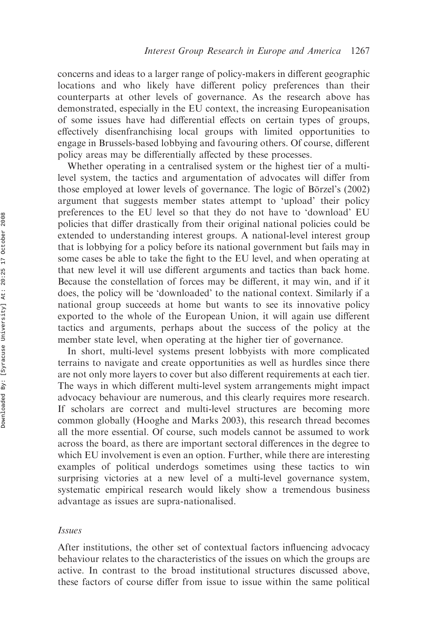concerns and ideas to a larger range of policy-makers in different geographic locations and who likely have different policy preferences than their counterparts at other levels of governance. As the research above has demonstrated, especially in the EU context, the increasing Europeanisation of some issues have had differential effects on certain types of groups, effectively disenfranchising local groups with limited opportunities to engage in Brussels-based lobbying and favouring others. Of course, different policy areas may be differentially affected by these processes.

Whether operating in a centralised system or the highest tier of a multilevel system, the tactics and argumentation of advocates will differ from those employed at lower levels of governance. The logic of Börzel's (2002) argument that suggests member states attempt to 'upload' their policy preferences to the EU level so that they do not have to 'download' EU policies that differ drastically from their original national policies could be extended to understanding interest groups. A national-level interest group that is lobbying for a policy before its national government but fails may in some cases be able to take the fight to the EU level, and when operating at that new level it will use different arguments and tactics than back home. Because the constellation of forces may be different, it may win, and if it does, the policy will be 'downloaded' to the national context. Similarly if a national group succeeds at home but wants to see its innovative policy exported to the whole of the European Union, it will again use different tactics and arguments, perhaps about the success of the policy at the member state level, when operating at the higher tier of governance.

In short, multi-level systems present lobbyists with more complicated terrains to navigate and create opportunities as well as hurdles since there are not only more layers to cover but also different requirements at each tier. The ways in which different multi-level system arrangements might impact advocacy behaviour are numerous, and this clearly requires more research. If scholars are correct and multi-level structures are becoming more common globally (Hooghe and Marks 2003), this research thread becomes all the more essential. Of course, such models cannot be assumed to work across the board, as there are important sectoral differences in the degree to which EU involvement is even an option. Further, while there are interesting examples of political underdogs sometimes using these tactics to win surprising victories at a new level of a multi-level governance system, systematic empirical research would likely show a tremendous business advantage as issues are supra-nationalised.

#### Issues

After institutions, the other set of contextual factors influencing advocacy behaviour relates to the characteristics of the issues on which the groups are active. In contrast to the broad institutional structures discussed above, these factors of course differ from issue to issue within the same political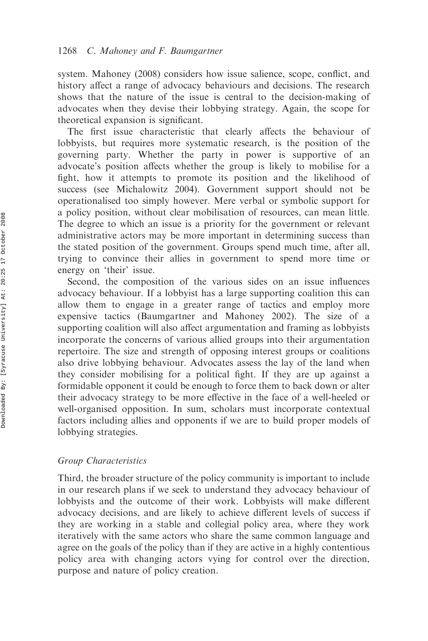system. Mahoney (2008) considers how issue salience, scope, conflict, and history affect a range of advocacy behaviours and decisions. The research shows that the nature of the issue is central to the decision-making of advocates when they devise their lobbying strategy. Again, the scope for theoretical expansion is significant.

The first issue characteristic that clearly affects the behaviour of lobbyists, but requires more systematic research, is the position of the governing party. Whether the party in power is supportive of an advocate's position affects whether the group is likely to mobilise for a fight, how it attempts to promote its position and the likelihood of success (see Michalowitz 2004). Government support should not be operationalised too simply however. Mere verbal or symbolic support for a policy position, without clear mobilisation of resources, can mean little. The degree to which an issue is a priority for the government or relevant administrative actors may be more important in determining success than the stated position of the government. Groups spend much time, after all, trying to convince their allies in government to spend more time or energy on 'their' issue.

Second, the composition of the various sides on an issue influences advocacy behaviour. If a lobbyist has a large supporting coalition this can allow them to engage in a greater range of tactics and employ more expensive tactics (Baumgartner and Mahoney 2002). The size of a supporting coalition will also affect argumentation and framing as lobbyists incorporate the concerns of various allied groups into their argumentation repertoire. The size and strength of opposing interest groups or coalitions also drive lobbying behaviour. Advocates assess the lay of the land when they consider mobilising for a political fight. If they are up against a formidable opponent it could be enough to force them to back down or alter their advocacy strategy to be more effective in the face of a well-heeled or well-organised opposition. In sum, scholars must incorporate contextual factors including allies and opponents if we are to build proper models of lobbying strategies.

### Group Characteristics

Third, the broader structure of the policy community is important to include in our research plans if we seek to understand they advocacy behaviour of lobbyists and the outcome of their work. Lobbyists will make different advocacy decisions, and are likely to achieve different levels of success if they are working in a stable and collegial policy area, where they work iteratively with the same actors who share the same common language and agree on the goals of the policy than if they are active in a highly contentious policy area with changing actors vying for control over the direction, purpose and nature of policy creation.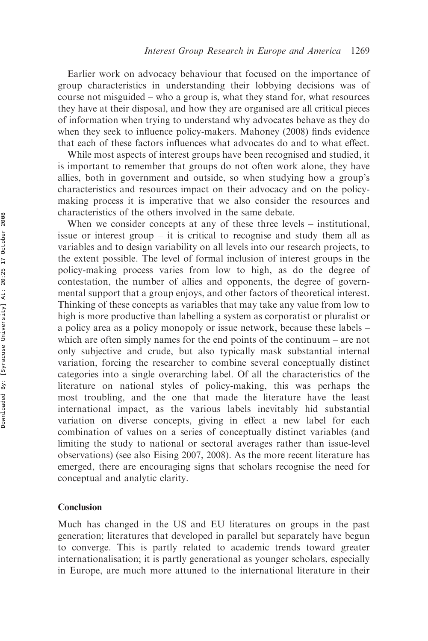Earlier work on advocacy behaviour that focused on the importance of group characteristics in understanding their lobbying decisions was of course not misguided – who a group is, what they stand for, what resources they have at their disposal, and how they are organised are all critical pieces of information when trying to understand why advocates behave as they do when they seek to influence policy-makers. Mahoney (2008) finds evidence that each of these factors influences what advocates do and to what effect.

While most aspects of interest groups have been recognised and studied, it is important to remember that groups do not often work alone, they have allies, both in government and outside, so when studying how a group's characteristics and resources impact on their advocacy and on the policymaking process it is imperative that we also consider the resources and characteristics of the others involved in the same debate.

When we consider concepts at any of these three levels – institutional, issue or interest group – it is critical to recognise and study them all as variables and to design variability on all levels into our research projects, to the extent possible. The level of formal inclusion of interest groups in the policy-making process varies from low to high, as do the degree of contestation, the number of allies and opponents, the degree of governmental support that a group enjoys, and other factors of theoretical interest. Thinking of these concepts as variables that may take any value from low to high is more productive than labelling a system as corporatist or pluralist or a policy area as a policy monopoly or issue network, because these labels – which are often simply names for the end points of the continuum – are not only subjective and crude, but also typically mask substantial internal variation, forcing the researcher to combine several conceptually distinct categories into a single overarching label. Of all the characteristics of the literature on national styles of policy-making, this was perhaps the most troubling, and the one that made the literature have the least international impact, as the various labels inevitably hid substantial variation on diverse concepts, giving in effect a new label for each combination of values on a series of conceptually distinct variables (and limiting the study to national or sectoral averages rather than issue-level observations) (see also Eising 2007, 2008). As the more recent literature has emerged, there are encouraging signs that scholars recognise the need for conceptual and analytic clarity.

#### **Conclusion**

Much has changed in the US and EU literatures on groups in the past generation; literatures that developed in parallel but separately have begun to converge. This is partly related to academic trends toward greater internationalisation; it is partly generational as younger scholars, especially in Europe, are much more attuned to the international literature in their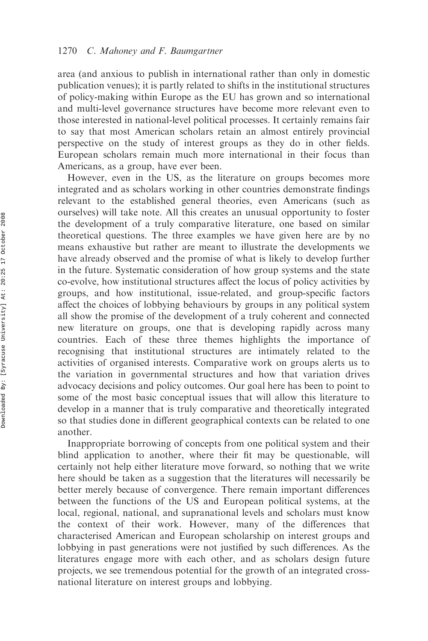area (and anxious to publish in international rather than only in domestic publication venues); it is partly related to shifts in the institutional structures of policy-making within Europe as the EU has grown and so international and multi-level governance structures have become more relevant even to those interested in national-level political processes. It certainly remains fair to say that most American scholars retain an almost entirely provincial perspective on the study of interest groups as they do in other fields. European scholars remain much more international in their focus than Americans, as a group, have ever been.

However, even in the US, as the literature on groups becomes more integrated and as scholars working in other countries demonstrate findings relevant to the established general theories, even Americans (such as ourselves) will take note. All this creates an unusual opportunity to foster the development of a truly comparative literature, one based on similar theoretical questions. The three examples we have given here are by no means exhaustive but rather are meant to illustrate the developments we have already observed and the promise of what is likely to develop further in the future. Systematic consideration of how group systems and the state co-evolve, how institutional structures affect the locus of policy activities by groups, and how institutional, issue-related, and group-specific factors affect the choices of lobbying behaviours by groups in any political system all show the promise of the development of a truly coherent and connected new literature on groups, one that is developing rapidly across many countries. Each of these three themes highlights the importance of recognising that institutional structures are intimately related to the activities of organised interests. Comparative work on groups alerts us to the variation in governmental structures and how that variation drives advocacy decisions and policy outcomes. Our goal here has been to point to some of the most basic conceptual issues that will allow this literature to develop in a manner that is truly comparative and theoretically integrated so that studies done in different geographical contexts can be related to one another.

Inappropriate borrowing of concepts from one political system and their blind application to another, where their fit may be questionable, will certainly not help either literature move forward, so nothing that we write here should be taken as a suggestion that the literatures will necessarily be better merely because of convergence. There remain important differences between the functions of the US and European political systems, at the local, regional, national, and supranational levels and scholars must know the context of their work. However, many of the differences that characterised American and European scholarship on interest groups and lobbying in past generations were not justified by such differences. As the literatures engage more with each other, and as scholars design future projects, we see tremendous potential for the growth of an integrated crossnational literature on interest groups and lobbying.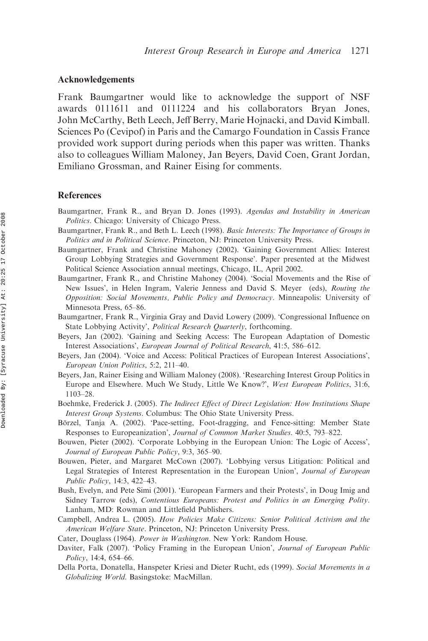#### Acknowledgements

Frank Baumgartner would like to acknowledge the support of NSF awards 0111611 and 0111224 and his collaborators Bryan Jones, John McCarthy, Beth Leech, Jeff Berry, Marie Hojnacki, and David Kimball. Sciences Po (Cevipof) in Paris and the Camargo Foundation in Cassis France provided work support during periods when this paper was written. Thanks also to colleagues William Maloney, Jan Beyers, David Coen, Grant Jordan, Emiliano Grossman, and Rainer Eising for comments.

#### References

- Baumgartner, Frank R., and Bryan D. Jones (1993). Agendas and Instability in American Politics. Chicago: University of Chicago Press.
- Baumgartner, Frank R., and Beth L. Leech (1998). Basic Interests: The Importance of Groups in Politics and in Political Science. Princeton, NJ: Princeton University Press.
- Baumgartner, Frank and Christine Mahoney (2002). 'Gaining Government Allies: Interest Group Lobbying Strategies and Government Response'. Paper presented at the Midwest Political Science Association annual meetings, Chicago, IL, April 2002.
- Baumgartner, Frank R., and Christine Mahoney (2004). 'Social Movements and the Rise of New Issues', in Helen Ingram, Valerie Jenness and David S. Meyer (eds), Routing the Opposition: Social Movements, Public Policy and Democracy. Minneapolis: University of Minnesota Press, 65–86.
- Baumgartner, Frank R., Virginia Gray and David Lowery (2009). 'Congressional Influence on State Lobbying Activity', Political Research Quarterly, forthcoming.
- Beyers, Jan (2002). 'Gaining and Seeking Access: The European Adaptation of Domestic Interest Associations', European Journal of Political Research, 41:5, 586–612.
- Beyers, Jan (2004). 'Voice and Access: Political Practices of European Interest Associations', European Union Politics, 5:2, 211–40.
- Beyers, Jan, Rainer Eising and William Maloney (2008). 'Researching Interest Group Politics in Europe and Elsewhere. Much We Study, Little We Know?', West European Politics, 31:6, 1103–28.
- Boehmke, Frederick J. (2005). The Indirect Effect of Direct Legislation: How Institutions Shape Interest Group Systems. Columbus: The Ohio State University Press.
- Börzel, Tanja A. (2002). 'Pace-setting, Foot-dragging, and Fence-sitting: Member State Responses to Europeanization', Journal of Common Market Studies. 40:5, 793–822.
- Bouwen, Pieter (2002). 'Corporate Lobbying in the European Union: The Logic of Access', Journal of European Public Policy, 9:3, 365–90.
- Bouwen, Pieter, and Margaret McCown (2007). 'Lobbying versus Litigation: Political and Legal Strategies of Interest Representation in the European Union', Journal of European Public Policy, 14:3, 422–43.
- Bush, Evelyn, and Pete Simi (2001). 'European Farmers and their Protests', in Doug Imig and Sidney Tarrow (eds), Contentious Europeans: Protest and Politics in an Emerging Polity. Lanham, MD: Rowman and Littlefield Publishers.
- Campbell, Andrea L. (2005). How Policies Make Citizens: Senior Political Activism and the American Welfare State. Princeton, NJ: Princeton University Press.

Cater, Douglass (1964). Power in Washington. New York: Random House.

- Daviter, Falk (2007). 'Policy Framing in the European Union', *Journal of European Public* Policy, 14:4, 654–66.
- Della Porta, Donatella, Hanspeter Kriesi and Dieter Rucht, eds (1999). Social Movements in a Globalizing World. Basingstoke: MacMillan.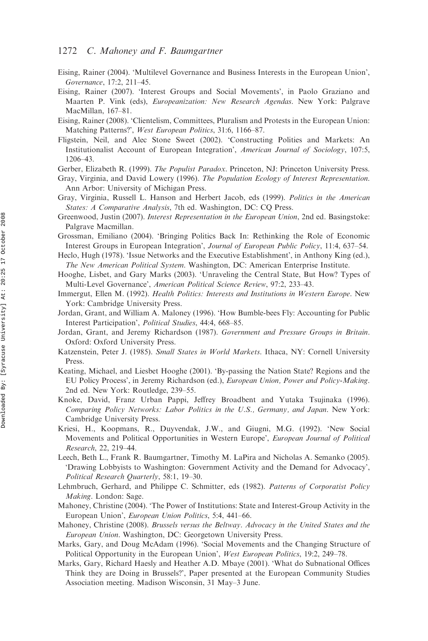- Eising, Rainer (2004). 'Multilevel Governance and Business Interests in the European Union', Governance, 17:2, 211–45.
- Eising, Rainer (2007). 'Interest Groups and Social Movements', in Paolo Graziano and Maarten P. Vink (eds), Europeanization: New Research Agendas. New York: Palgrave MacMillan, 167–81.
- Eising, Rainer (2008). 'Clientelism, Committees, Pluralism and Protests in the European Union: Matching Patterns?', West European Politics, 31:6, 1166–87.
- Fligstein, Neil, and Alec Stone Sweet (2002). 'Constructing Polities and Markets: An Institutionalist Account of European Integration', American Journal of Sociology, 107:5, 1206–43.
- Gerber, Elizabeth R. (1999). The Populist Paradox. Princeton, NJ: Princeton University Press.
- Gray, Virginia, and David Lowery (1996). The Population Ecology of Interest Representation. Ann Arbor: University of Michigan Press.
- Gray, Virginia, Russell L. Hanson and Herbert Jacob, eds (1999). Politics in the American States: A Comparative Analysis, 7th ed. Washington, DC: CQ Press.
- Greenwood, Justin (2007). Interest Representation in the European Union, 2nd ed. Basingstoke: Palgrave Macmillan.
- Grossman, Emiliano (2004). 'Bringing Politics Back In: Rethinking the Role of Economic Interest Groups in European Integration', Journal of European Public Policy, 11:4, 637–54.
- Heclo, Hugh (1978). 'Issue Networks and the Executive Establishment', in Anthony King (ed.), The New American Political System. Washington, DC: American Enterprise Institute.
- Hooghe, Lisbet, and Gary Marks (2003). 'Unraveling the Central State, But How? Types of Multi-Level Governance', American Political Science Review, 97:2, 233–43.
- Immergut, Ellen M. (1992). Health Politics: Interests and Institutions in Western Europe. New York: Cambridge University Press.
- Jordan, Grant, and William A. Maloney (1996). 'How Bumble-bees Fly: Accounting for Public Interest Participation', Political Studies, 44:4, 668–85.
- Jordan, Grant, and Jeremy Richardson (1987). Government and Pressure Groups in Britain. Oxford: Oxford University Press.
- Katzenstein, Peter J. (1985). Small States in World Markets. Ithaca, NY: Cornell University Press.
- Keating, Michael, and Liesbet Hooghe (2001). 'By-passing the Nation State? Regions and the EU Policy Process', in Jeremy Richardson (ed.), European Union, Power and Policy-Making. 2nd ed. New York: Routledge, 239–55.
- Knoke, David, Franz Urban Pappi, Jeffrey Broadbent and Yutaka Tsujinaka (1996). Comparing Policy Networks: Labor Politics in the U.S., Germany, and Japan. New York: Cambridge University Press.
- Kriesi, H., Koopmans, R., Duyvendak, J.W., and Giugni, M.G. (1992). 'New Social Movements and Political Opportunities in Western Europe', European Journal of Political Research, 22, 219–44.
- Leech, Beth L., Frank R. Baumgartner, Timothy M. LaPira and Nicholas A. Semanko (2005). 'Drawing Lobbyists to Washington: Government Activity and the Demand for Advocacy', Political Research Quarterly, 58:1, 19–30.
- Lehmbruch, Gerhard, and Philippe C. Schmitter, eds (1982). Patterns of Corporatist Policy Making. London: Sage.
- Mahoney, Christine (2004). 'The Power of Institutions: State and Interest-Group Activity in the European Union', European Union Politics, 5:4, 441–66.
- Mahoney, Christine (2008). Brussels versus the Beltway. Advocacy in the United States and the European Union. Washington, DC: Georgetown University Press.
- Marks, Gary, and Doug McAdam (1996). 'Social Movements and the Changing Structure of Political Opportunity in the European Union', West European Politics, 19:2, 249–78.
- Marks, Gary, Richard Haesly and Heather A.D. Mbaye (2001). 'What do Subnational Offices Think they are Doing in Brussels?', Paper presented at the European Community Studies Association meeting. Madison Wisconsin, 31 May–3 June.